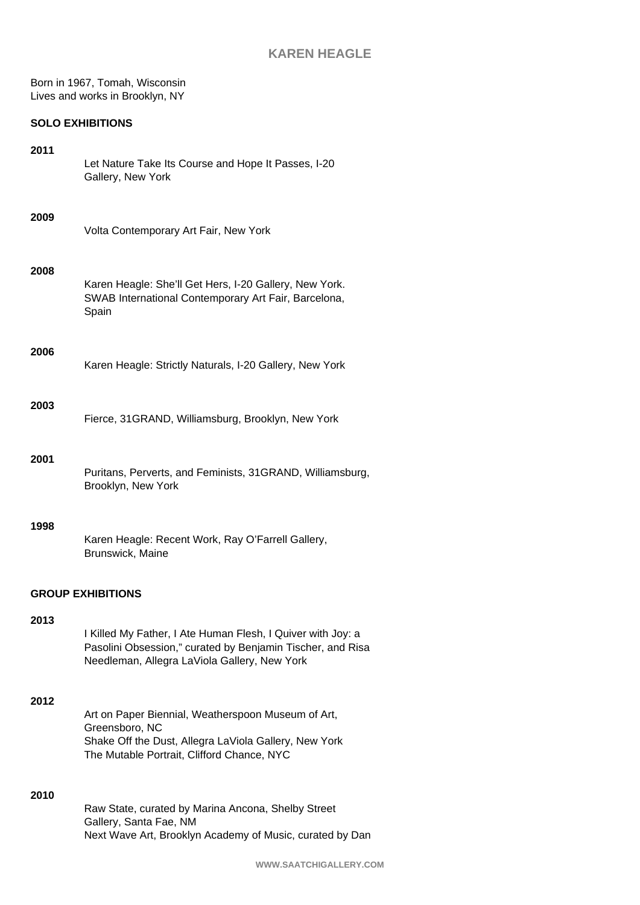Born in 1967, Tomah, Wisconsin Lives and works in Brooklyn, NY

# **SOLO EXHIBITIONS**

| 2011                     | Let Nature Take Its Course and Hope It Passes, I-20<br>Gallery, New York                                                                                                    |  |  |
|--------------------------|-----------------------------------------------------------------------------------------------------------------------------------------------------------------------------|--|--|
| 2009                     | Volta Contemporary Art Fair, New York                                                                                                                                       |  |  |
| 2008                     | Karen Heagle: She'll Get Hers, I-20 Gallery, New York.<br>SWAB International Contemporary Art Fair, Barcelona,<br>Spain                                                     |  |  |
| 2006                     | Karen Heagle: Strictly Naturals, I-20 Gallery, New York                                                                                                                     |  |  |
| 2003                     | Fierce, 31GRAND, Williamsburg, Brooklyn, New York                                                                                                                           |  |  |
| 2001                     | Puritans, Perverts, and Feminists, 31GRAND, Williamsburg,<br>Brooklyn, New York                                                                                             |  |  |
| 1998                     | Karen Heagle: Recent Work, Ray O'Farrell Gallery,<br>Brunswick, Maine                                                                                                       |  |  |
| <b>GROUP EXHIBITIONS</b> |                                                                                                                                                                             |  |  |
| 2013                     | I Killed My Father, I Ate Human Flesh, I Quiver with Joy: a<br>Pasolini Obsession," curated by Benjamin Tischer, and Risa<br>Needleman, Allegra LaViola Gallery, New York   |  |  |
| 2012                     | Art on Paper Biennial, Weatherspoon Museum of Art,<br>Greensboro, NC<br>Shake Off the Dust, Allegra LaViola Gallery, New York<br>The Mutable Portrait, Clifford Chance, NYC |  |  |
| 2010                     | Raw State, curated by Marina Ancona, Shelby Street<br>Gallery, Santa Fae, NM<br>Next Wave Art, Brooklyn Academy of Music, curated by Dan                                    |  |  |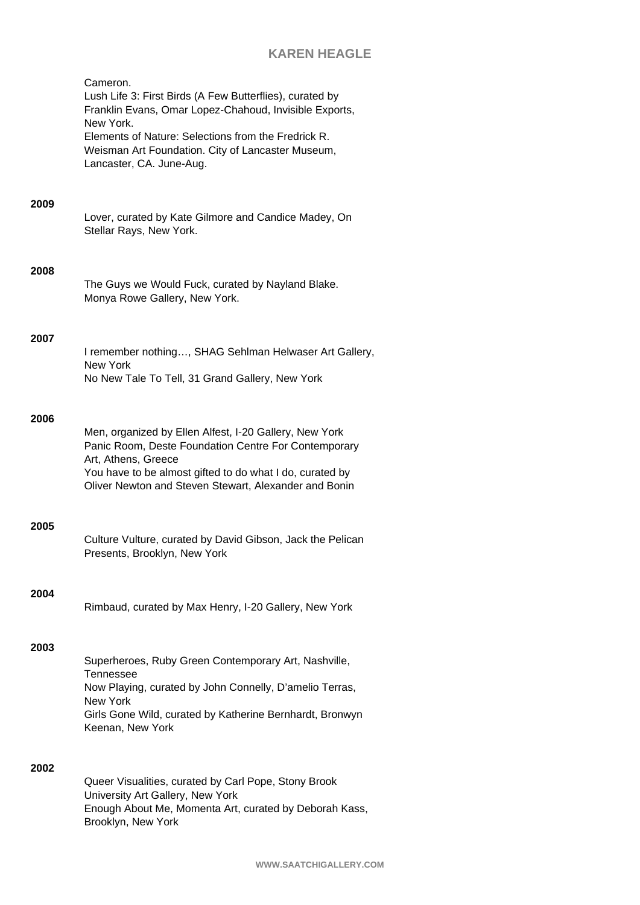# **KAREN HEAGLE**

Cameron. Lush Life 3: First Birds (A Few Butterflies), curated by Franklin Evans, Omar Lopez-Chahoud, Invisible Exports, New York. Elements of Nature: Selections from the Fredrick R. Weisman Art Foundation. City of Lancaster Museum, Lancaster, CA. June-Aug.

## **2009**

Lover, curated by Kate Gilmore and Candice Madey, On Stellar Rays, New York.

### **2008**

|                               | The Guys we Would Fuck, curated by Nayland Blake. |
|-------------------------------|---------------------------------------------------|
| Monya Rowe Gallery, New York. |                                                   |

### **2007**

I remember nothing…, SHAG Sehlman Helwaser Art Gallery, New York No New Tale To Tell, 31 Grand Gallery, New York

## **2006**

| Men, organized by Ellen Alfest, I-20 Gallery, New York   |
|----------------------------------------------------------|
| Panic Room, Deste Foundation Centre For Contemporary     |
|                                                          |
| You have to be almost gifted to do what I do, curated by |
| Oliver Newton and Steven Stewart, Alexander and Bonin    |
|                                                          |

### **2005**

Culture Vulture, curated by David Gibson, Jack the Pelican Presents, Brooklyn, New York

# **2004**

Rimbaud, curated by Max Henry, I-20 Gallery, New York

## **2003**

Superheroes, Ruby Green Contemporary Art, Nashville, Tennessee Now Playing, curated by John Connelly, D'amelio Terras, New York Girls Gone Wild, curated by Katherine Bernhardt, Bronwyn Keenan, New York

# **2002**

Queer Visualities, curated by Carl Pope, Stony Brook University Art Gallery, New York Enough About Me, Momenta Art, curated by Deborah Kass, Brooklyn, New York